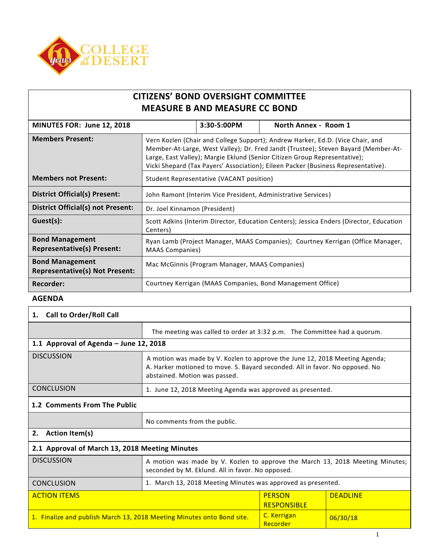

# **CITIZENS' BOND OVERSIGHT COMMITTEE MEASURE B AND MEASURE CC BOND**

| MINUTES FOR: June 12, 2018                                      |                                                                                                                                                                                                                                                                                                                                        | 3:30-5:00PM                              | North Annex - Room 1                                       |
|-----------------------------------------------------------------|----------------------------------------------------------------------------------------------------------------------------------------------------------------------------------------------------------------------------------------------------------------------------------------------------------------------------------------|------------------------------------------|------------------------------------------------------------|
| <b>Members Present:</b>                                         | Vern Kozlen (Chair and College Support); Andrew Harker, Ed.D. (Vice Chair, and<br>Member-At-Large, West Valley); Dr. Fred Jandt (Trustee); Steven Bayard (Member-At-<br>Large, East Valley); Margie Eklund (Senior Citizen Group Representative);<br>Vicki Shepard (Tax Payers' Association); Eileen Packer (Business Representative). |                                          |                                                            |
| <b>Members not Present:</b>                                     |                                                                                                                                                                                                                                                                                                                                        | Student Representative (VACANT position) |                                                            |
| District Official(s) Present:                                   | John Ramont (Interim Vice President, Administrative Services)                                                                                                                                                                                                                                                                          |                                          |                                                            |
| <b>District Official(s) not Present:</b>                        | Dr. Joel Kinnamon (President)                                                                                                                                                                                                                                                                                                          |                                          |                                                            |
| Guest(s):                                                       | Scott Adkins (Interim Director, Education Centers); Jessica Enders (Director, Education<br>Centers)                                                                                                                                                                                                                                    |                                          |                                                            |
| <b>Bond Management</b><br><b>Representative(s) Present:</b>     | Ryan Lamb (Project Manager, MAAS Companies); Courtney Kerrigan (Office Manager,<br><b>MAAS Companies)</b>                                                                                                                                                                                                                              |                                          |                                                            |
| <b>Bond Management</b><br><b>Representative(s) Not Present:</b> | Mac McGinnis (Program Manager, MAAS Companies)                                                                                                                                                                                                                                                                                         |                                          |                                                            |
| <b>Recorder:</b>                                                |                                                                                                                                                                                                                                                                                                                                        |                                          | Courtney Kerrigan (MAAS Companies, Bond Management Office) |

## **AGENDA**

## **1. Call to Order/Roll Call**

| The meeting was called to order at 3:32 p.m. The Committee had a quorum.                                                                                                                     |  |  |  |
|----------------------------------------------------------------------------------------------------------------------------------------------------------------------------------------------|--|--|--|
| 1.1 Approval of Agenda - June 12, 2018                                                                                                                                                       |  |  |  |
| A motion was made by V. Kozlen to approve the June 12, 2018 Meeting Agenda;<br>A. Harker motioned to move. S. Bayard seconded. All in favor. No opposed. No<br>abstained. Motion was passed. |  |  |  |
| 1. June 12, 2018 Meeting Agenda was approved as presented.                                                                                                                                   |  |  |  |
|                                                                                                                                                                                              |  |  |  |
|                                                                                                                                                                                              |  |  |  |

### No comments from the public.

## **2. Action Item(s)**

| 2.1 Approval of March 13, 2018 Meeting Minutes                         |                                                                                                                                   |                         |                 |
|------------------------------------------------------------------------|-----------------------------------------------------------------------------------------------------------------------------------|-------------------------|-----------------|
| <b>DISCUSSION</b>                                                      | A motion was made by V. Kozlen to approve the March 13, 2018 Meeting Minutes;<br>seconded by M. Eklund. All in favor. No opposed. |                         |                 |
| <b>CONCLUSION</b>                                                      | 1. March 13, 2018 Meeting Minutes was approved as presented.                                                                      |                         |                 |
| <b>ACTION ITEMS</b>                                                    | <b>PERSON</b><br><b>RESPONSIBLE</b>                                                                                               |                         | <b>DEADLINE</b> |
| 1. Finalize and publish March 13, 2018 Meeting Minutes onto Bond site. |                                                                                                                                   | C. Kerrigan<br>Recorder | 06/30/18        |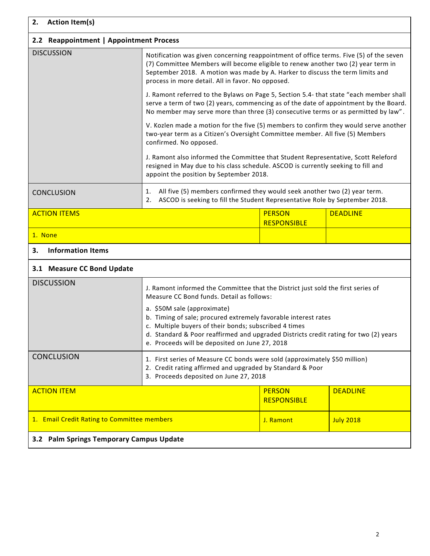| 2.<br><b>Action Item(s)</b>                 |                                                                                                                                                                                                                                                                                                                  |                                     |                  |
|---------------------------------------------|------------------------------------------------------------------------------------------------------------------------------------------------------------------------------------------------------------------------------------------------------------------------------------------------------------------|-------------------------------------|------------------|
| 2.2 Reappointment   Appointment Process     |                                                                                                                                                                                                                                                                                                                  |                                     |                  |
| <b>DISCUSSION</b>                           | Notification was given concerning reappointment of office terms. Five (5) of the seven<br>(7) Committee Members will become eligible to renew another two (2) year term in<br>September 2018. A motion was made by A. Harker to discuss the term limits and<br>process in more detail. All in favor. No opposed. |                                     |                  |
|                                             | J. Ramont referred to the Bylaws on Page 5, Section 5.4- that state "each member shall<br>serve a term of two (2) years, commencing as of the date of appointment by the Board.<br>No member may serve more than three (3) consecutive terms or as permitted by law".                                            |                                     |                  |
|                                             | V. Kozlen made a motion for the five (5) members to confirm they would serve another<br>two-year term as a Citizen's Oversight Committee member. All five (5) Members<br>confirmed. No opposed.                                                                                                                  |                                     |                  |
|                                             | J. Ramont also informed the Committee that Student Representative, Scott Releford<br>resigned in May due to his class schedule. ASCOD is currently seeking to fill and<br>appoint the position by September 2018.                                                                                                |                                     |                  |
| <b>CONCLUSION</b>                           | All five (5) members confirmed they would seek another two (2) year term.<br>1.<br>ASCOD is seeking to fill the Student Representative Role by September 2018.<br>2.                                                                                                                                             |                                     |                  |
| <b>ACTION ITEMS</b>                         |                                                                                                                                                                                                                                                                                                                  | <b>PERSON</b><br><b>RESPONSIBLE</b> | <b>DEADLINE</b>  |
| 1. None                                     |                                                                                                                                                                                                                                                                                                                  |                                     |                  |
| <b>Information Items</b><br>з.              |                                                                                                                                                                                                                                                                                                                  |                                     |                  |
| 3.1 Measure CC Bond Update                  |                                                                                                                                                                                                                                                                                                                  |                                     |                  |
| <b>DISCUSSION</b>                           | J. Ramont informed the Committee that the District just sold the first series of<br>Measure CC Bond funds. Detail as follows:<br>a. \$50M sale (approximate)                                                                                                                                                     |                                     |                  |
|                                             | b. Timing of sale; procured extremely favorable interest rates<br>c. Multiple buyers of their bonds; subscribed 4 times<br>d. Standard & Poor reaffirmed and upgraded Districts credit rating for two (2) years<br>e. Proceeds will be deposited on June 27, 2018                                                |                                     |                  |
| <b>CONCLUSION</b>                           | 1. First series of Measure CC bonds were sold (approximately \$50 million)<br>2. Credit rating affirmed and upgraded by Standard & Poor<br>3. Proceeds deposited on June 27, 2018                                                                                                                                |                                     |                  |
| <b>ACTION ITEM</b>                          |                                                                                                                                                                                                                                                                                                                  | <b>PERSON</b><br><b>RESPONSIBLE</b> | <b>DEADLINE</b>  |
| 1. Email Credit Rating to Committee members |                                                                                                                                                                                                                                                                                                                  | J. Ramont                           | <b>July 2018</b> |
| 3.2 Palm Springs Temporary Campus Update    |                                                                                                                                                                                                                                                                                                                  |                                     |                  |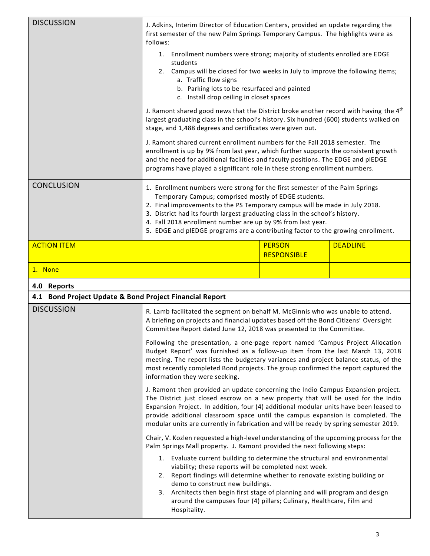| <b>DISCUSSION</b>                                                            | J. Adkins, Interim Director of Education Centers, provided an update regarding the<br>first semester of the new Palm Springs Temporary Campus. The highlights were as<br>follows:                                                                                                                                                                                                                                                                                                                                                                                                                               |                                     |                 |
|------------------------------------------------------------------------------|-----------------------------------------------------------------------------------------------------------------------------------------------------------------------------------------------------------------------------------------------------------------------------------------------------------------------------------------------------------------------------------------------------------------------------------------------------------------------------------------------------------------------------------------------------------------------------------------------------------------|-------------------------------------|-----------------|
|                                                                              | 1. Enrollment numbers were strong; majority of students enrolled are EDGE<br>students<br>Campus will be closed for two weeks in July to improve the following items;<br>2.<br>a. Traffic flow signs<br>b. Parking lots to be resurfaced and painted<br>c. Install drop ceiling in closet spaces                                                                                                                                                                                                                                                                                                                 |                                     |                 |
|                                                                              | J. Ramont shared good news that the District broke another record with having the 4 <sup>th</sup><br>largest graduating class in the school's history. Six hundred (600) students walked on<br>stage, and 1,488 degrees and certificates were given out.                                                                                                                                                                                                                                                                                                                                                        |                                     |                 |
|                                                                              | J. Ramont shared current enrollment numbers for the Fall 2018 semester. The<br>enrollment is up by 9% from last year, which further supports the consistent growth<br>and the need for additional facilities and faculty positions. The EDGE and plEDGE<br>programs have played a significant role in these strong enrollment numbers.                                                                                                                                                                                                                                                                          |                                     |                 |
| <b>CONCLUSION</b>                                                            | 1. Enrollment numbers were strong for the first semester of the Palm Springs<br>Temporary Campus; comprised mostly of EDGE students.<br>2. Final improvements to the PS Temporary campus will be made in July 2018.<br>3. District had its fourth largest graduating class in the school's history.<br>4. Fall 2018 enrollment number are up by 9% from last year.<br>5. EDGE and plEDGE programs are a contributing factor to the growing enrollment.                                                                                                                                                          |                                     |                 |
| <b>ACTION ITEM</b>                                                           |                                                                                                                                                                                                                                                                                                                                                                                                                                                                                                                                                                                                                 | <b>PERSON</b><br><b>RESPONSIBLE</b> | <b>DEADLINE</b> |
| 1. None                                                                      |                                                                                                                                                                                                                                                                                                                                                                                                                                                                                                                                                                                                                 |                                     |                 |
| 4.0 Reports                                                                  |                                                                                                                                                                                                                                                                                                                                                                                                                                                                                                                                                                                                                 |                                     |                 |
| 4.1 Bond Project Update & Bond Project Financial Report<br><b>DISCUSSION</b> |                                                                                                                                                                                                                                                                                                                                                                                                                                                                                                                                                                                                                 |                                     |                 |
|                                                                              | R. Lamb facilitated the segment on behalf M. McGinnis who was unable to attend.<br>A briefing on projects and financial updates based off the Bond Citizens' Oversight<br>Committee Report dated June 12, 2018 was presented to the Committee                                                                                                                                                                                                                                                                                                                                                                   |                                     |                 |
|                                                                              | Following the presentation, a one-page report named 'Campus Project Allocation<br>Budget Report' was furnished as a follow-up item from the last March 13, 2018<br>meeting. The report lists the budgetary variances and project balance status, of the<br>most recently completed Bond projects. The group confirmed the report captured the<br>information they were seeking.                                                                                                                                                                                                                                 |                                     |                 |
|                                                                              | J. Ramont then provided an update concerning the Indio Campus Expansion project.<br>The District just closed escrow on a new property that will be used for the Indio<br>Expansion Project. In addition, four (4) additional modular units have been leased to<br>provide additional classroom space until the campus expansion is completed. The<br>modular units are currently in fabrication and will be ready by spring semester 2019.<br>Chair, V. Kozlen requested a high-level understanding of the upcoming process for the<br>Palm Springs Mall property. J. Ramont provided the next following steps: |                                     |                 |
|                                                                              |                                                                                                                                                                                                                                                                                                                                                                                                                                                                                                                                                                                                                 |                                     |                 |
|                                                                              | 1. Evaluate current building to determine the structural and environmental<br>viability; these reports will be completed next week.<br>2. Report findings will determine whether to renovate existing building or<br>demo to construct new buildings.<br>Architects then begin first stage of planning and will program and design<br>3.<br>around the campuses four (4) pillars; Culinary, Healthcare, Film and<br>Hospitality.                                                                                                                                                                                |                                     |                 |